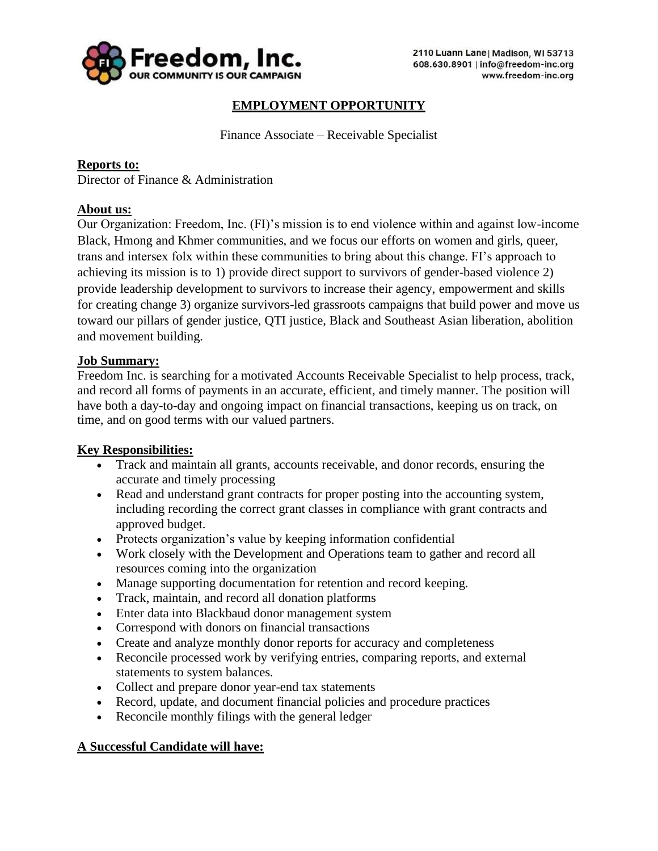

# **EMPLOYMENT OPPORTUNITY**

Finance Associate – Receivable Specialist

### **Reports to:**

Director of Finance & Administration

### **About us:**

Our Organization: Freedom, Inc. (FI)'s mission is to end violence within and against low-income Black, Hmong and Khmer communities, and we focus our efforts on women and girls, queer, trans and intersex folx within these communities to bring about this change. FI's approach to achieving its mission is to 1) provide direct support to survivors of gender-based violence 2) provide leadership development to survivors to increase their agency, empowerment and skills for creating change 3) organize survivors-led grassroots campaigns that build power and move us toward our pillars of gender justice, QTI justice, Black and Southeast Asian liberation, abolition and movement building.

### **Job Summary:**

Freedom Inc. is searching for a motivated Accounts Receivable Specialist to help process, track, and record all forms of payments in an accurate, efficient, and timely manner. The position will have both a day-to-day and ongoing impact on financial transactions, keeping us on track, on time, and on good terms with our valued partners.

#### **Key Responsibilities:**

- Track and maintain all grants, accounts receivable, and donor records, ensuring the accurate and timely processing
- Read and understand grant contracts for proper posting into the accounting system, including recording the correct grant classes in compliance with grant contracts and approved budget.
- Protects organization's value by keeping information confidential
- Work closely with the Development and Operations team to gather and record all resources coming into the organization
- Manage supporting documentation for retention and record keeping.
- Track, maintain, and record all donation platforms
- Enter data into Blackbaud donor management system
- Correspond with donors on financial transactions
- Create and analyze monthly donor reports for accuracy and completeness
- Reconcile processed work by verifying entries, comparing reports, and external statements to system balances.
- Collect and prepare donor year-end tax statements
- Record, update, and document financial policies and procedure practices
- Reconcile monthly filings with the general ledger

#### **A Successful Candidate will have:**